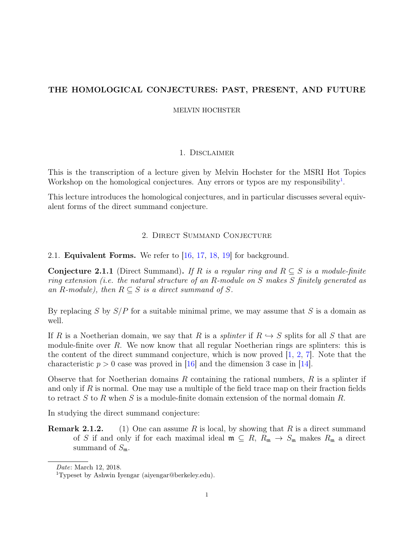# <span id="page-0-1"></span>THE HOMOLOGICAL CONJECTURES: PAST, PRESENT, AND FUTURE

MELVIN HOCHSTER

# 1. Disclaimer

This is the transcription of a lecture given by Melvin Hochster for the MSRI Hot Topics Workshop on the homological conjectures. Any errors or typos are my responsibility<sup>[1](#page-0-0)</sup>.

This lecture introduces the homological conjectures, and in particular discusses several equivalent forms of the direct summand conjecture.

## 2. Direct Summand Conjecture

2.1. **Equivalent Forms.** We refer to [\[16,](#page-7-0) [17,](#page-7-1) [18,](#page-7-2) [19\]](#page-7-3) for background.

**Conjecture 2.1.1** (Direct Summand). If R is a regular ring and  $R \subseteq S$  is a module-finite ring extension (i.e. the natural structure of an R-module on S makes S finitely generated as an R-module), then  $R \subseteq S$  is a direct summand of S.

By replacing S by  $S/P$  for a suitable minimal prime, we may assume that S is a domain as well.

If R is a Noetherian domain, we say that R is a *splinter* if  $R \hookrightarrow S$  splits for all S that are module-finite over  $R$ . We now know that all regular Noetherian rings are splinters: this is the content of the direct summand conjecture, which is now proved  $[1, 2, 7]$  $[1, 2, 7]$  $[1, 2, 7]$  $[1, 2, 7]$  $[1, 2, 7]$ . Note that the characteristic  $p > 0$  case was proved in [\[16\]](#page-7-0) and the dimension 3 case in [\[14\]](#page-7-7).

Observe that for Noetherian domains R containing the rational numbers,  $R$  is a splinter if and only if R is normal. One may use a multiple of the field trace map on their fraction fields to retract S to R when S is a module-finite domain extension of the normal domain R.

In studying the direct summand conjecture:

**Remark 2.1.2.** (1) One can assume R is local, by showing that R is a direct summand of S if and only if for each maximal ideal  $\mathfrak{m} \subseteq R$ ,  $R_{\mathfrak{m}} \to S_{\mathfrak{m}}$  makes  $R_{\mathfrak{m}}$  a direct summand of  $S_{\mathfrak{m}}$ .

Date: March 12, 2018.

<span id="page-0-0"></span><sup>1</sup>Typeset by Ashwin Iyengar (aiyengar@berkeley.edu).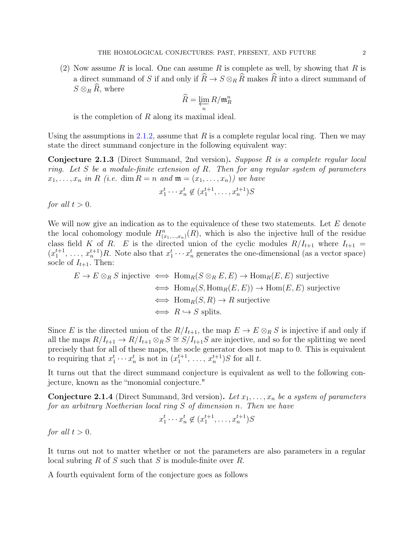(2) Now assume R is local. One can assume R is complete as well, by showing that R is a direct summand of S if and only if  $\widehat{R} \to S \otimes_R \widehat{R}$  makes  $\widehat{R}$  into a direct summand of  $S \otimes_R \widehat{R}$ , where

$$
\widehat{R} = \varprojlim_n R/\mathfrak{m}_R^n
$$

is the completion of  $R$  along its maximal ideal.

Using the assumptions in [2.1.2,](#page-0-1) assume that  $R$  is a complete regular local ring. Then we may state the direct summand conjecture in the following equivalent way:

Conjecture 2.1.3 (Direct Summand, 2nd version). Suppose R is a complete regular local ring. Let S be a module-finite extension of R. Then for any regular system of parameters  $x_1, \ldots, x_n$  in R (i.e. dim  $R = n$  and  $\mathfrak{m} = (x_1, \ldots, x_n)$ ) we have

$$
x_1^t \cdots x_n^t \notin (x_1^{t+1}, \ldots, x_n^{t+1})S
$$

for all  $t > 0$ .

We will now give an indication as to the equivalence of these two statements. Let  $E$  denote the local cohomology module  $H_{(x_1,...,x_n)}^n(R)$ , which is also the injective hull of the residue class field K of R. E is the directed union of the cyclic modules  $R/I_{t+1}$  where  $I_{t+1}$  =  $(x_1^{t+1}, \ldots, x_n^{t+1})R$ . Note also that  $x_1^t \cdots x_n^t$  generates the one-dimensional (as a vector space) socle of  $I_{t+1}$ . Then:

$$
E \to E \otimes_R S \text{ injective} \iff \text{Hom}_R(S \otimes_R E, E) \to \text{Hom}_R(E, E) \text{ surjective}
$$
  

$$
\iff \text{Hom}_R(S, \text{Hom}_R(E, E)) \to \text{Hom}(E, E) \text{ surjective}
$$
  

$$
\iff \text{Hom}_R(S, R) \to R \text{ surjective}
$$
  

$$
\iff R \to S \text{ splits.}
$$

Since E is the directed union of the  $R/I_{t+1}$ , the map  $E \to E \otimes_R S$  is injective if and only if all the maps  $R/I_{t+1} \to R/I_{t+1} \otimes_R S \cong S/I_{t+1}S$  are injective, and so for the splitting we need precisely that for all of these maps, the socle generator does not map to 0. This is equivalent to requiring that  $x_1^t \cdots x_n^t$  is not in  $(x_1^{t+1}, \ldots, x_n^{t+1})S$  for all t.

It turns out that the direct summand conjecture is equivalent as well to the following conjecture, known as the "monomial conjecture."

**Conjecture 2.1.4** (Direct Summand, 3rd version). Let  $x_1, \ldots, x_n$  be a system of parameters for an arbitrary Noetherian local ring S of dimension n. Then we have

$$
x_1^t \cdots x_n^t \notin (x_1^{t+1}, \ldots, x_n^{t+1})S
$$

for all  $t > 0$ .

It turns out not to matter whether or not the parameters are also parameters in a regular local subring  $R$  of  $S$  such that  $S$  is module-finite over  $R$ .

A fourth equivalent form of the conjecture goes as follows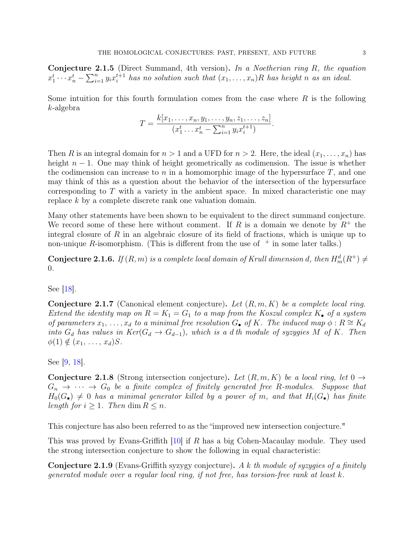**Conjecture 2.1.5** (Direct Summand, 4th version). In a Noetherian ring R, the equation  $x_1^t \cdots x_n^t - \sum_{i=1}^n y_i x_i^{t+1}$  $i_i^{t+1}$  has no solution such that  $(x_1, \ldots, x_n)R$  has height n as an ideal.

Some intuition for this fourth formulation comes from the case where  $R$  is the following k-algebra

$$
T = \frac{k[x_1, \ldots, x_n, y_1, \ldots, y_n, z_1, \ldots, z_n]}{(x_1^t \ldots x_n^t - \sum_{i=1}^n y_i x_i^{t+1})}.
$$

Then R is an integral domain for  $n > 1$  and a UFD for  $n > 2$ . Here, the ideal  $(x_1, \ldots, x_n)$  has height  $n-1$ . One may think of height geometrically as codimension. The issue is whether the codimension can increase to n in a homomorphic image of the hypersurface  $T$ , and one may think of this as a question about the behavior of the intersection of the hypersurface corresponding to  $T$  with a variety in the ambient space. In mixed characteristic one may replace k by a complete discrete rank one valuation domain.

Many other statements have been shown to be equivalent to the direct summand conjecture. We record some of these here without comment. If R is a domain we denote by  $R^+$  the integral closure of R in an algebraic closure of its field of fractions, which is unique up to non-unique R-isomorphism. (This is different from the use of  $+$  in some later talks.)

**Conjecture 2.1.6.** If  $(R, m)$  is a complete local domain of Krull dimension d, then  $H_m^d(R^+) \neq$ 0.

See [\[18\]](#page-7-2).

**Conjecture 2.1.7** (Canonical element conjecture). Let  $(R, m, K)$  be a complete local ring. Extend the identity map on  $R = K_1 = G_1$  to a map from the Koszul complex  $K_{\bullet}$  of a system of parameters  $x_1, \ldots, x_d$  to a minimal free resolution  $G_{\bullet}$  of K. The induced map  $\phi : R \cong K_d$ into  $G_d$  has values in  $Ker(G_d \rightarrow G_{d-1})$ , which is a d th module of syzygies M of K. Then  $\phi(1) \notin (x_1, \ldots, x_d)$ S.

See [\[9,](#page-7-8) [18\]](#page-7-2).

**Conjecture 2.1.8** (Strong intersection conjecture). Let  $(R, m, K)$  be a local ring, let  $0 \rightarrow$  $G_n \to \cdots \to G_0$  be a finite complex of finitely generated free R-modules. Suppose that  $H_0(G_{\bullet}) \neq 0$  has a minimal generator killed by a power of m, and that  $H_i(G_{\bullet})$  has finite length for  $i \geq 1$ . Then dim  $R \leq n$ .

This conjecture has also been referred to as the "improved new intersection conjecture."

This was proved by Evans-Griffith  $|10|$  if R has a big Cohen-Macaulay module. They used the strong intersection conjecture to show the following in equal characteristic:

**Conjecture 2.1.9** (Evans-Griffith syzygy conjecture). A k th module of syzygies of a finitely generated module over a regular local ring, if not free, has torsion-free rank at least k.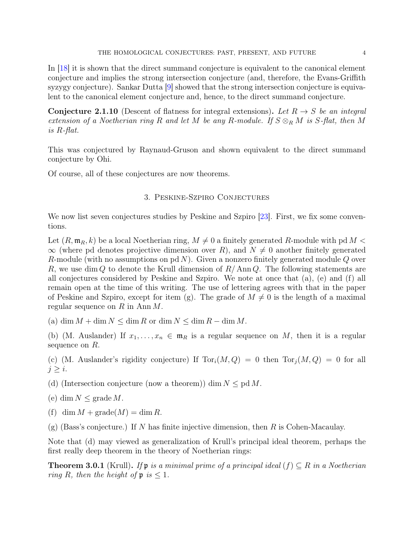In [\[18\]](#page-7-2) it is shown that the direct summand conjecture is equivalent to the canonical element conjecture and implies the strong intersection conjecture (and, therefore, the Evans-Griffith syzygy conjecture). Sankar Dutta [\[9\]](#page-7-8) showed that the strong intersection conjecture is equivalent to the canonical element conjecture and, hence, to the direct summand conjecture.

**Conjecture 2.1.10** (Descent of flatness for integral extensions). Let  $R \rightarrow S$  be an integral extension of a Noetherian ring R and let M be any R-module. If  $S \otimes_R M$  is S-flat, then M is R-flat.

This was conjectured by Raynaud-Gruson and shown equivalent to the direct summand conjecture by Ohi.

Of course, all of these conjectures are now theorems.

# 3. Peskine-Szpiro Conjectures

We now list seven conjectures studies by Peskine and Szpiro [\[23\]](#page-8-0). First, we fix some conventions.

Let  $(R, \mathfrak{m}_R, k)$  be a local Noetherian ring,  $M \neq 0$  a finitely generated R-module with pd  $M <$  $\infty$  (where pd denotes projective dimension over R), and  $N \neq 0$  another finitely generated R-module (with no assumptions on pd  $N$ ). Given a nonzero finitely generated module  $Q$  over R, we use dim Q to denote the Krull dimension of  $R/\text{Ann }Q$ . The following statements are all conjectures considered by Peskine and Szpiro. We note at once that (a), (e) and (f) all remain open at the time of this writing. The use of lettering agrees with that in the paper of Peskine and Szpiro, except for item (g). The grade of  $M \neq 0$  is the length of a maximal regular sequence on R in Ann  $M$ .

(a) dim  $M + \dim N \leq \dim R$  or  $\dim N \leq \dim R - \dim M$ .

(b) (M. Auslander) If  $x_1, \ldots, x_n \in \mathfrak{m}_R$  is a regular sequence on M, then it is a regular sequence on  $R$ .

(c) (M. Auslander's rigidity conjecture) If  $Tor_i(M,Q) = 0$  then  $Tor_i(M,Q) = 0$  for all  $j \geq i$ .

(d) (Intersection conjecture (now a theorem)) dim  $N \leq \text{pd } M$ .

- (e) dim  $N \leq$  grade M.
- (f) dim  $M$  + grade( $M$ ) = dim R.
- (g) (Bass's conjecture.) If N has finite injective dimension, then R is Cohen-Macaulay.

Note that (d) may viewed as generalization of Krull's principal ideal theorem, perhaps the first really deep theorem in the theory of Noetherian rings:

**Theorem 3.0.1** (Krull). If p is a minimal prime of a principal ideal  $(f) \subseteq R$  in a Noetherian ring R, then the height of  $\mathfrak{p}$  is  $\leq 1$ .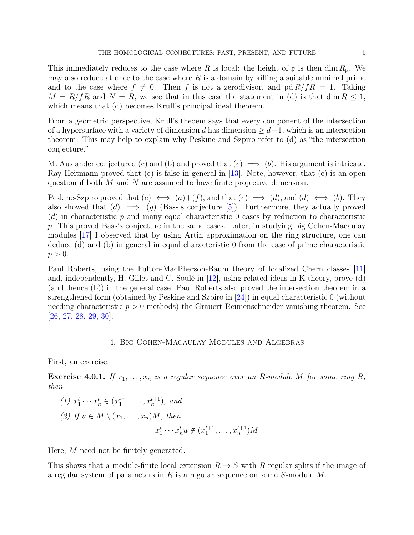This immediately reduces to the case where R is local: the height of  $\mathfrak p$  is then dim  $R_p$ . We

may also reduce at once to the case where  $R$  is a domain by killing a suitable minimal prime and to the case where  $f \neq 0$ . Then f is not a zerodivisor, and pd  $R/fR = 1$ . Taking  $M = R/fR$  and  $N = R$ , we see that in this case the statement in (d) is that dim  $R \leq 1$ , which means that (d) becomes Krull's principal ideal theorem.

From a geometric perspective, Krull's theoem says that every component of the intersection of a hypersurface with a variety of dimension d has dimension  $\geq d-1$ , which is an intersection theorem. This may help to explain why Peskine and Szpiro refer to (d) as "the intersection conjecture."

M. Auslander conjectured (c) and (b) and proved that  $(c) \implies (b)$ . His argument is intricate. Ray Heitmann proved that (c) is false in general in [\[13\]](#page-7-10). Note, however, that (c) is an open question if both M and N are assumed to have finite projective dimension.

Peskine-Szpiro proved that  $(e) \iff (a)+(f)$ , and that  $(e) \implies (d)$ , and  $(d) \iff (b)$ . They also showed that  $(d) \implies (g)$  (Bass's conjecture [\[5\]](#page-7-11)). Furthermore, they actually proved  $(d)$  in characteristic p and many equal characteristic 0 cases by reduction to characteristic p. This proved Bass's conjecture in the same cases. Later, in studying big Cohen-Macaulay modules [\[17\]](#page-7-1) I observed that by using Artin approximation on the ring structure, one can deduce (d) and (b) in general in equal characteristic 0 from the case of prime characteristic  $p > 0$ .

Paul Roberts, using the Fulton-MacPherson-Baum theory of localized Chern classes [\[11\]](#page-7-12) and, independently, H. Gillet and C. Soulé in [\[12\]](#page-7-13), using related ideas in K-theory, prove (d) (and, hence (b)) in the general case. Paul Roberts also proved the intersection theorem in a strengthened form (obtained by Peskine and Szpiro in [\[24\]](#page-8-1)) in equal characteristic 0 (without needing characteristic  $p > 0$  methods) the Grauert-Reimenschneider vanishing theorem. See [\[26,](#page-8-2) [27,](#page-8-3) [28,](#page-8-4) [29,](#page-8-5) [30\]](#page-8-6).

# 4. Big Cohen-Macaulay Modules and Algebras

First, an exercise:

**Exercise 4.0.1.** If  $x_1, \ldots, x_n$  is a regular sequence over an R-module M for some ring R, then

(1) 
$$
x_1^t \cdots x_n^t \in (x_1^{t+1}, \ldots, x_n^{t+1}),
$$
 and  
\n(2) If  $u \in M \setminus (x_1, \ldots, x_n)M$ , then  
\n $x_1^t \cdots x_n^t u \notin (x_1^{t+1}, \ldots, x_n^{t+1})M$ 

Here, M need not be finitely generated.

This shows that a module-finite local extension  $R \to S$  with R regular splits if the image of a regular system of parameters in R is a regular sequence on some  $S$ -module  $M$ .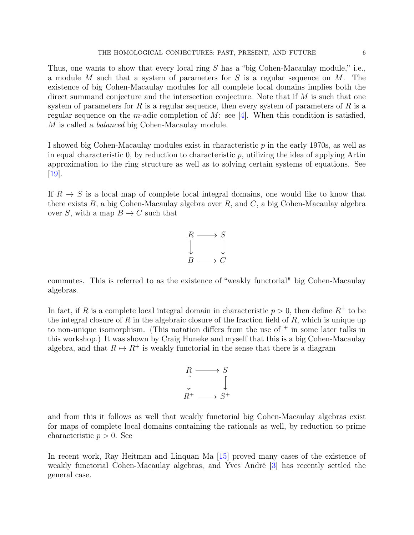Thus, one wants to show that every local ring S has a "big Cohen-Macaulay module," i.e., a module M such that a system of parameters for  $S$  is a regular sequence on  $M$ . The existence of big Cohen-Macaulay modules for all complete local domains implies both the direct summand conjecture and the intersection conjecture. Note that if  $M$  is such that one system of parameters for R is a regular sequence, then every system of parameters of R is a regular sequence on the m-adic completion of M: see [\[4\]](#page-7-14). When this condition is satisfied, M is called a *balanced* big Cohen-Macaulay module.

I showed big Cohen-Macaulay modules exist in characteristic p in the early 1970s, as well as in equal characteristic 0, by reduction to characteristic  $p$ , utilizing the idea of applying Artin approximation to the ring structure as well as to solving certain systems of equations. See [\[19\]](#page-7-3).

If  $R \to S$  is a local map of complete local integral domains, one would like to know that there exists  $B$ , a big Cohen-Macaulay algebra over  $R$ , and  $C$ , a big Cohen-Macaulay algebra over S, with a map  $B \to C$  such that



commutes. This is referred to as the existence of "weakly functorial" big Cohen-Macaulay algebras.

In fact, if R is a complete local integral domain in characteristic  $p > 0$ , then define  $R^+$  to be the integral closure of  $R$  in the algebraic closure of the fraction field of  $R$ , which is unique up to non-unique isomorphism. (This notation differs from the use of  $+$  in some later talks in this workshop.) It was shown by Craig Huneke and myself that this is a big Cohen-Macaulay algebra, and that  $R \mapsto R^+$  is weakly functorial in the sense that there is a diagram



and from this it follows as well that weakly functorial big Cohen-Macaulay algebras exist for maps of complete local domains containing the rationals as well, by reduction to prime characteristic  $p > 0$ . See

In recent work, Ray Heitman and Linquan Ma [\[15\]](#page-7-15) proved many cases of the existence of weakly functorial Cohen-Macaulay algebras, and Yves André [\[3\]](#page-7-16) has recently settled the general case.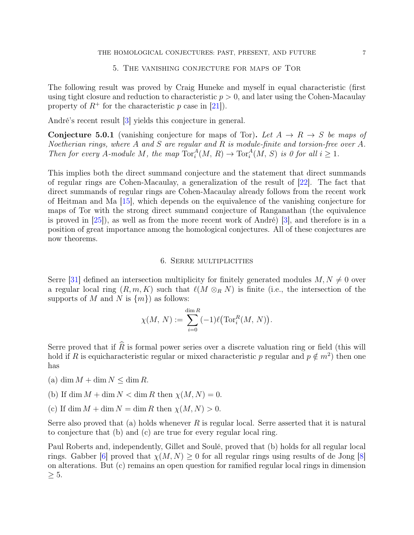### 5. The vanishing conjecture for maps of Tor

The following result was proved by Craig Huneke and myself in equal characteristic (first using tight closure and reduction to characteristic  $p > 0$ , and later using the Cohen-Macaulay property of  $R^+$  for the characteristic p case in [\[21\]](#page-8-7)).

André's recent result [\[3\]](#page-7-16) yields this conjecture in general.

**Conjecture 5.0.1** (vanishing conjecture for maps of Tor). Let  $A \rightarrow R \rightarrow S$  be maps of Noetherian rings, where A and S are regular and R is module-finite and torsion-free over A. Then for every A-module M, the map  $Tor_i^A(M, R) \to Tor_i^A(M, S)$  is 0 for all  $i \geq 1$ .

This implies both the direct summand conjecture and the statement that direct summands of regular rings are Cohen-Macaulay, a generalization of the result of [\[22\]](#page-8-8). The fact that direct summands of regular rings are Cohen-Macaulay already follows from the recent work of Heitman and Ma [\[15\]](#page-7-15), which depends on the equivalence of the vanishing conjecture for maps of Tor with the strong direct summand conjecture of Ranganathan (the equivalence is proved in [\[25\]](#page-8-9)), as well as from the more recent work of André) [\[3\]](#page-7-16), and therefore is in a position of great importance among the homological conjectures. All of these conjectures are now theorems.

#### 6. Serre multiplicities

Serre [\[31\]](#page-8-10) defined an intersection multiplicity for finitely generated modules  $M, N \neq 0$  over a regular local ring  $(R, m, K)$  such that  $\ell(M \otimes_R N)$  is finite (i.e., the intersection of the supports of M and N is  $\{m\}$  as follows:

$$
\chi(M, N) := \sum_{i=0}^{\dim R} (-1) \ell \big( \operatorname{Tor}_i^R(M, N) \big).
$$

Serre proved that if  $\widehat{R}$  is formal power series over a discrete valuation ring or field (this will hold if R is equicharacteristic regular or mixed characteristic p regular and  $p \notin m^2$ ) then one has

- (a) dim  $M + \dim N \leq \dim R$ .
- (b) If dim  $M + \dim N < \dim R$  then  $\chi(M, N) = 0$ .
- (c) If dim  $M + \dim N = \dim R$  then  $\chi(M, N) > 0$ .

Serre also proved that (a) holds whenever  $R$  is regular local. Serre asserted that it is natural to conjecture that (b) and (c) are true for every regular local ring.

Paul Roberts and, independently, Gillet and Soulé, proved that (b) holds for all regular local rings. Gabber [\[6\]](#page-7-17) proved that  $\chi(M, N) \geq 0$  for all regular rings using results of de Jong [\[8\]](#page-7-18) on alterations. But (c) remains an open question for ramified regular local rings in dimension  $\geq 5$ .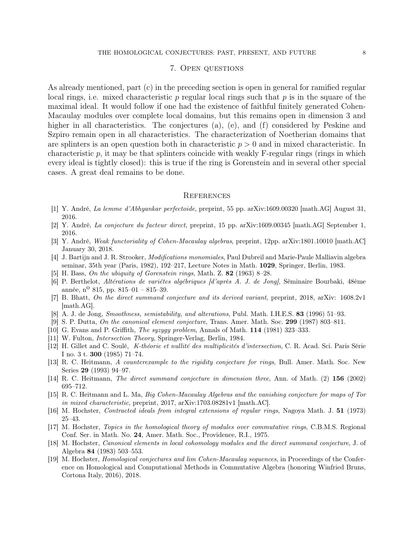## 7. Open questions

As already mentioned, part (c) in the preceding section is open in general for ramified regular local rings, i.e. mixed characteristic  $p$  regular local rings such that  $p$  is in the square of the maximal ideal. It would follow if one had the existence of faithful finitely generated Cohen-Macaulay modules over complete local domains, but this remains open in dimension 3 and higher in all characteristics. The conjectures (a), (e), and (f) considered by Peskine and Szpiro remain open in all characteristics. The characterization of Noetherian domains that are splinters is an open question both in characteristic  $p > 0$  and in mixed characteristic. In characteristic p, it may be that splinters coincide with weakly  $F$ -regular rings (rings in which every ideal is tightly closed): this is true if the ring is Gorenstein and in several other special cases. A great deal remains to be done.

#### **REFERENCES**

- <span id="page-7-4"></span>[1] Y. André, La lemme d'Abhyankar perfectoide, preprint, 55 pp. arXiv:1609.00320 [math.AG] August 31, 2016.
- <span id="page-7-5"></span>[2] Y. André, La conjecture du facteur direct, preprint, 15 pp. arXiv:1609.00345 [math.AG] September 1, 2016.
- <span id="page-7-16"></span>[3] Y. André, Weak functoriality of Cohen-Macaulay algebras, preprint, 12pp. arXiv:1801.10010 [math.AC] January 30, 2018.
- <span id="page-7-14"></span>[4] J. Bartijn and J. R. Strooker, Modifications monomiales, Paul Dubreil and Marie-Paule Malliavin algebra seminar, 35th year (Paris, 1982), 192–217, Lecture Notes in Math. 1029, Springer, Berlin, 1983.
- <span id="page-7-11"></span>[5] H. Bass, On the ubiquity of Gorenstein rings, Math. Z. 82 (1963) 8–28.
- <span id="page-7-17"></span>[6] P. Berthelot, Altérations de variétes algébriques [d'après A. J. de Jong], Séminaire Bourbaki, 48ème année, n<sup>o</sup> 815, pp. 815–01 – 815–39.
- <span id="page-7-6"></span>[7] B. Bhatt, On the direct summand conjecture and its derived variant, preprint, 2018, arXiv: 1608.2v1 [math.AG].
- <span id="page-7-18"></span>[8] A. J. de Jong, Smoothness, semistability, and alterations, Publ. Math. I.H.E.S. 83 (1996) 51–93.
- <span id="page-7-8"></span>[9] S. P. Dutta, On the canonical element conjecture, Trans. Amer. Math. Soc. 299 (1987) 803–811.
- <span id="page-7-9"></span>[10] G. Evans and P. Griffith, The syzygy problem, Annals of Math. 114 (1981) 323–333.
- <span id="page-7-12"></span>[11] W. Fulton, Intersection Theory, Springer-Verlag, Berlin, 1984.
- <span id="page-7-13"></span>[12] H. Gillet and C. Soulé, K-théorie et nullité des multiplicités d'intersection, C. R. Acad. Sci. Paris Série I no. 3 t. 300 (1985) 71–74.
- <span id="page-7-10"></span>[13] R. C. Heitmann, A counterexample to the rigidity conjecture for rings, Bull. Amer. Math. Soc. New Series 29 (1993) 94–97.
- <span id="page-7-7"></span>[14] R. C. Heitmann, The direct summand conjecture in dimension three, Ann. of Math. (2) 156 (2002) 695–712.
- <span id="page-7-15"></span>[15] R. C. Heitmann and L. Ma, Big Cohen-Macaulay Algebras and the vanishing conjecture for maps of Tor in mixed characteristic, preprint, 2017, arXiv:1703.08281v1 [math.AC].
- <span id="page-7-0"></span>[16] M. Hochster, Contracted ideals from integral extensions of regular rings, Nagoya Math. J. 51 (1973) 25–43.
- <span id="page-7-1"></span>[17] M. Hochster, Topics in the homological theory of modules over commutative rings, C.B.M.S. Regional Conf. Ser. in Math. No. 24, Amer. Math. Soc., Providence, R.I., 1975.
- <span id="page-7-2"></span>[18] M. Hochster, Canonical elements in local cohomology modules and the direct summand conjecture, J. of Algebra 84 (1983) 503–553.
- <span id="page-7-3"></span>[19] M. Hochster, Homological conjectures and lim Cohen-Macaulay sequences, in Proceedings of the Conference on Homological and Computational Methods in Commutative Algebra (honoring Winfried Bruns, Cortona Italy, 2016), 2018.